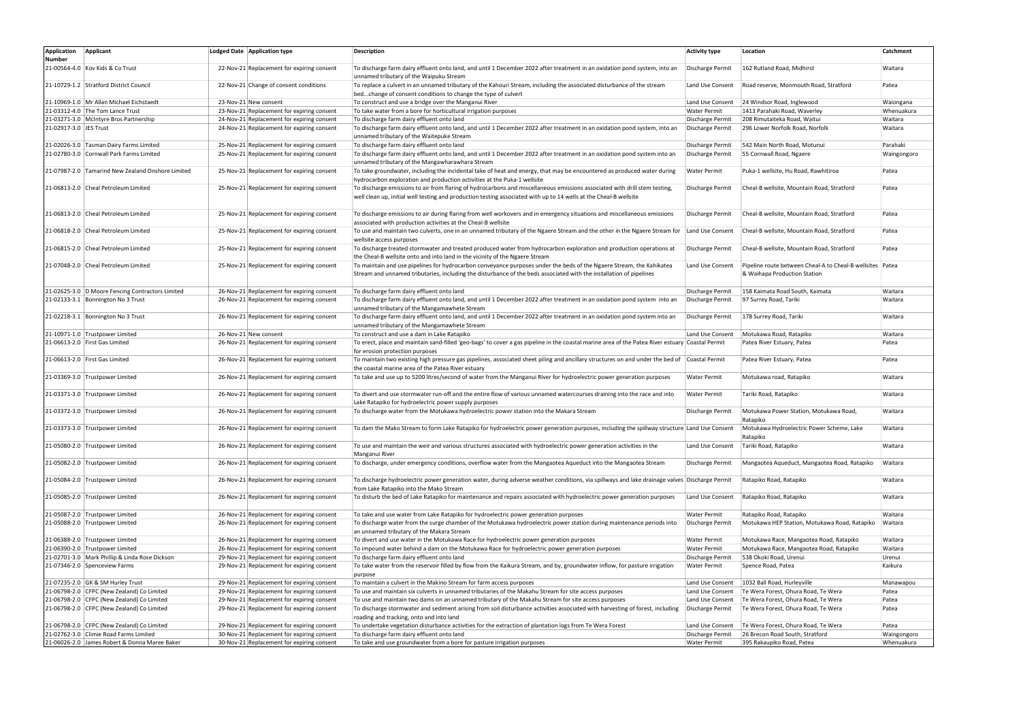| <b>Application</b>     | Applicant                                         | Lodged Date Application type               | <b>Description</b>                                                                                                                                                                                                                              | <b>Activity type</b>    | Location                                                    | Catchment   |
|------------------------|---------------------------------------------------|--------------------------------------------|-------------------------------------------------------------------------------------------------------------------------------------------------------------------------------------------------------------------------------------------------|-------------------------|-------------------------------------------------------------|-------------|
| Number                 |                                                   |                                            |                                                                                                                                                                                                                                                 |                         |                                                             |             |
|                        | 21-00564-4.0 Kov Kids & Co Trust                  | 22-Nov-21 Replacement for expiring consent | To discharge farm dairy effluent onto land, and until 1 December 2022 after treatment in an oxidation pond system, into an<br>unnamed tributary of the Waipuku Stream                                                                           | Discharge Permit        | 162 Rutland Road, Midhirst                                  | Waitara     |
|                        | 21-10729-1.2 Stratford District Council           | 22-Nov-21 Change of consent conditions     | To replace a culvert in an unnamed tributary of the Kahouri Stream, including the associated disturbance of the stream<br>bedchange of consent conditions to change the type of culvert                                                         | Land Use Consent        | Road reserve, Monmouth Road, Stratford                      | Patea       |
|                        |                                                   |                                            |                                                                                                                                                                                                                                                 |                         |                                                             |             |
|                        | 21-10969-1.0   Mr Allan Michael Eichstaedt        | 23-Nov-21 New consent                      | To construct and use a bridge over the Manganui River                                                                                                                                                                                           | Land Use Consent        | 24 Windsor Road, Inglewood                                  | Waiongana   |
|                        | 21-03312-4.0 The Tom Lance Trust                  | 23-Nov-21 Replacement for expiring consent | To take water from a bore for horticultural irrigation purposes                                                                                                                                                                                 | <b>Water Permit</b>     | 1413 Parahaki Road, Waverley                                | Whenuakura  |
|                        | 21-03271-3.0 McIntyre Bros Partnership            | 24-Nov-21 Replacement for expiring consent | To discharge farm dairy effluent onto land                                                                                                                                                                                                      | Discharge Permit        | 208 Rimutaiteka Road, Waitui                                | Waitara     |
| 21-02917-3.0 JES Trust |                                                   | 24-Nov-21 Replacement for expiring consent | To discharge farm dairy effluent onto land, and until 1 December 2022 after treatment in an oxidation pond system, into an<br>unnamed tributary of the Waitepuke Stream                                                                         | Discharge Permit        | 296 Lower Norfolk Road, Norfolk                             | Waitara     |
|                        | 21-02026-3.0 Tasman Dairy Farms Limited           | 25-Nov-21 Replacement for expiring consent | To discharge farm dairy effluent onto land                                                                                                                                                                                                      | <b>Discharge Permit</b> | 542 Main North Road, Motunui                                | Parahaki    |
|                        | 21-02780-3.0 Cornwall Park Farms Limited          | 25-Nov-21 Replacement for expiring consent | To discharge farm dairy effluent onto land, and until 1 December 2022 after treatment in an oxidation pond system into an                                                                                                                       | Discharge Permit        | 55 Cornwall Road, Ngaere                                    | Waingongoro |
|                        |                                                   |                                            | unnamed tributary of the Mangawharawhara Stream                                                                                                                                                                                                 |                         |                                                             |             |
|                        | 21-07987-2.0 Tamarind New Zealand Onshore Limited | 25-Nov-21 Replacement for expiring consent | To take groundwater, including the incidental take of heat and energy, that may be encountered as produced water during<br>hydrocarbon exploration and production activities at the Puka-1 wellsite                                             | <b>Water Permit</b>     | Puka-1 wellsite, Hu Road, Rawhitiroa                        | Patea       |
|                        | 21-06813-2.0 Cheal Petroleum Limited              | 25-Nov-21 Replacement for expiring consent | To discharge emissions to air from flaring of hydrocarbons and miscellaneous emissions associated with drill stem testing,<br>well clean up, initial well testing and production testing associated with up to 14 wells at the Cheal-B wellsite | Discharge Permit        | Cheal-B wellsite, Mountain Road, Stratford                  | Patea       |
|                        |                                                   |                                            |                                                                                                                                                                                                                                                 |                         |                                                             |             |
|                        | 21-06813-2.0 Cheal Petroleum Limited              | 25-Nov-21 Replacement for expiring consent | To discharge emissions to air during flaring from well workovers and in emergency situations and miscellaneous emissions<br>associated with production activities at the Cheal-B wellsite                                                       | Discharge Permit        | Cheal-B wellsite, Mountain Road, Stratford                  | Patea       |
|                        | 21-06818-2.0 Cheal Petroleum Limited              | 25-Nov-21 Replacement for expiring consent | To use and maintain two culverts, one in an unnamed tributary of the Ngaere Stream and the other in the Ngaere Stream for Land Use Consent                                                                                                      |                         | Cheal-B wellsite, Mountain Road, Stratford                  | Patea       |
|                        |                                                   |                                            | wellsite access purposes                                                                                                                                                                                                                        |                         |                                                             |             |
|                        | 21-06815-2.0 Cheal Petroleum Limited              | 25-Nov-21 Replacement for expiring consent | To discharge treated stormwater and treated produced water from hydrocarbon exploration and production operations at<br>the Cheal-B wellsite onto and into land in the vicinity of the Ngaere Stream                                            | Discharge Permit        | Cheal-B wellsite, Mountain Road, Stratford                  | Patea       |
|                        | 21-07048-2.0 Cheal Petroleum Limited              | 25-Nov-21 Replacement for expiring consent | To maintain and use pipelines for hydrocarbon conveyance purposes under the beds of the Ngaere Stream, the Kahikatea                                                                                                                            | Land Use Consent        | Pipeline route between Cheal-A to Cheal-B wellsites   Patea |             |
|                        |                                                   |                                            | Stream and unnamed tributaries, including the disturbance of the beds associated with the installation of pipelines                                                                                                                             |                         | & Waihapa Production Station                                |             |
|                        |                                                   |                                            |                                                                                                                                                                                                                                                 |                         |                                                             |             |
|                        |                                                   |                                            |                                                                                                                                                                                                                                                 |                         |                                                             |             |
|                        | 21-02625-3.0 D Moore Fencing Contractors Limited  | 26-Nov-21 Replacement for expiring consent | To discharge farm dairy effluent onto land                                                                                                                                                                                                      | <b>Discharge Permit</b> | 158 Kaimata Road South. Kaimata                             | Waitara     |
|                        | 21-02133-3.1 Bonnington No 3 Trust                | 26-Nov-21 Replacement for expiring consent | To discharge farm dairy effluent onto land, and until 1 December 2022 after treatment in an oxidation pond system into an                                                                                                                       | Discharge Permit        | 97 Surrey Road, Tariki                                      | Waitara     |
|                        |                                                   |                                            | unnamed tributary of the Mangamawhete Stream                                                                                                                                                                                                    |                         |                                                             |             |
|                        | 21-02218-3.1 Bonnington No 3 Trust                | 26-Nov-21 Replacement for expiring consent | To discharge farm dairy effluent onto land, and until 1 December 2022 after treatment in an oxidation pond system into an<br>unnamed tributary of the Mangamawhete Stream                                                                       | Discharge Permit        | 178 Surrey Road, Tariki                                     | Waitara     |
|                        | 21-10971-1.0 Trustpower Limited                   | 26-Nov-21 New consent                      | To construct and use a dam in Lake Ratapiko                                                                                                                                                                                                     | Land Use Consent        | Motukawa Road, Ratapiko                                     | Waitara     |
|                        | 21-06613-2.0 First Gas Limited                    | 26-Nov-21 Replacement for expiring consent | To erect, place and maintain sand-filled 'geo-bags' to cover a gas pipeline in the coastal marine area of the Patea River estuary Coastal Permit                                                                                                |                         | Patea River Estuary, Patea                                  | Patea       |
|                        |                                                   |                                            |                                                                                                                                                                                                                                                 |                         |                                                             |             |
|                        | 21-06613-2.0 First Gas Limited                    | 26-Nov-21 Replacement for expiring consent | for erosion protection purposes<br>To maintain two existing high pressure gas pipelines, associated sheet piling and ancillary structures on and under the bed of Coastal Permit                                                                |                         | Patea River Estuary, Patea                                  | Patea       |
|                        |                                                   |                                            | the coastal marine area of the Patea River estuary                                                                                                                                                                                              |                         |                                                             |             |
|                        | 21-03369-3.0 Trustpower Limited                   | 26-Nov-21 Replacement for expiring consent | To take and use up to 5200 litres/second of water from the Manganui River for hydroelectric power generation purposes                                                                                                                           | <b>Water Permit</b>     | Motukawa road, Ratapiko                                     | Waitara     |
|                        |                                                   |                                            |                                                                                                                                                                                                                                                 |                         |                                                             |             |
|                        | 21-03371-3.0 Trustpower Limited                   | 26-Nov-21 Replacement for expiring consent | To divert and use stormwater run-off and the entire flow of various unnamed watercourses draining into the race and into                                                                                                                        | <b>Water Permit</b>     | Tariki Road, Ratapiko                                       | Waitara     |
|                        |                                                   |                                            | Lake Ratapiko for hydroelectric power supply purposes                                                                                                                                                                                           |                         |                                                             |             |
|                        | 21-03372-3.0 Trustpower Limited                   | 26-Nov-21 Replacement for expiring consent | To discharge water from the Motukawa hydroelectric power station into the Makara Stream                                                                                                                                                         | Discharge Permit        | Motukawa Power Station, Motukawa Road,                      | Waitara     |
|                        |                                                   |                                            |                                                                                                                                                                                                                                                 |                         | Ratapiko                                                    |             |
|                        | 21-03373-3.0 Trustpower Limited                   | 26-Nov-21 Replacement for expiring consent | To dam the Mako Stream to form Lake Ratapiko for hydroelectric power generation purposes, including the spillway structure Land Use Consent                                                                                                     |                         | Motukawa Hydroelectric Power Scheme, Lake<br>Ratapiko       | Waitara     |
|                        | 21-05080-2.0 Trustpower Limited                   | 26-Nov-21 Replacement for expiring consent | To use and maintain the weir and various structures associated with hydroelectric power generation activities in the                                                                                                                            | Land Use Consent        | Tariki Road, Ratapiko                                       | Waitara     |
|                        |                                                   |                                            | Manganui River                                                                                                                                                                                                                                  |                         |                                                             |             |
|                        | 21-05082-2.0 Trustpower Limited                   | 26-Nov-21 Replacement for expiring consent | To discharge, under emergency conditions, overflow water from the Mangaotea Aqueduct into the Mangaotea Stream                                                                                                                                  | <b>Discharge Permit</b> | Mangaotea Aqueduct, Mangaotea Road, Ratapiko                | Waitara     |
|                        |                                                   |                                            |                                                                                                                                                                                                                                                 |                         |                                                             |             |
|                        | 21-05084-2.0 Trustpower Limited                   | 26-Nov-21 Replacement for expiring consent | To discharge hydroelectric power generation water, during adverse weather conditions, via spillways and lake drainage valves Discharge Permit<br>from Lake Ratapiko into the Mako Stream                                                        |                         | Ratapiko Road, Ratapiko                                     | Waitara     |
|                        | 21-05085-2.0 Trustpower Limited                   | 26-Nov-21 Replacement for expiring consent | To disturb the bed of Lake Ratapiko for maintenance and repairs associated with hydroelectric power generation purposes                                                                                                                         | Land Use Consent        | Ratapiko Road, Ratapiko                                     | Waitara     |
|                        |                                                   |                                            |                                                                                                                                                                                                                                                 |                         |                                                             |             |
|                        |                                                   |                                            |                                                                                                                                                                                                                                                 |                         |                                                             |             |
|                        | 21-05087-2.0 Trustpower Limited                   | 26-Nov-21 Replacement for expiring consent | To take and use water from Lake Ratapiko for hydroelectric power generation purposes                                                                                                                                                            | <b>Water Permit</b>     | Ratapiko Road, Ratapiko                                     | Waitara     |
|                        | 21-05088-2.0 Trustpower Limited                   | 26-Nov-21 Replacement for expiring consent | To discharge water from the surge chamber of the Motukawa hydroelectric power station during maintenance periods into                                                                                                                           | Discharge Permit        | Motukawa HEP Station, Motukawa Road, Ratapiko               | Waitara     |
|                        |                                                   |                                            | an unnamed tributary of the Makara Stream                                                                                                                                                                                                       |                         |                                                             |             |
|                        | 21-06388-2.0 Trustpower Limited                   | 26-Nov-21 Replacement for expiring consent | To divert and use water in the Motukawa Race for hydroelectric power generation purposes                                                                                                                                                        | <b>Water Permit</b>     | Motukawa Race, Mangaotea Road, Ratapiko                     | Waitara     |
|                        | 21-06390-2.0 Trustpower Limited                   | 26-Nov-21 Replacement for expiring consent | To impound water behind a dam on the Motukawa Race for hydroelectric power generation purposes                                                                                                                                                  | <b>Water Permit</b>     | Motukawa Race, Mangaotea Road, Ratapiko                     | Waitara     |
|                        | 21-02701-3.0 Mark Phillip & Linda Rose Dickson    | 29-Nov-21 Replacement for expiring consent | To discharge farm dairy effluent onto land                                                                                                                                                                                                      | Discharge Permit        | 538 Okoki Road, Urenui                                      | Urenui      |
|                        | 21-07346-2.0 Spenceview Farms                     | 29-Nov-21 Replacement for expiring consent | To take water from the reservoir filled by flow from the Kaikura Stream, and by, groundwater inflow, for pasture irrigation                                                                                                                     | <b>Water Permit</b>     | Spence Road, Patea                                          | Kaikura     |
|                        |                                                   |                                            | purpose                                                                                                                                                                                                                                         |                         |                                                             |             |
|                        |                                                   |                                            |                                                                                                                                                                                                                                                 |                         |                                                             |             |
|                        | 21-07235-2.0 GK & SM Hurley Trust                 | 29-Nov-21 Replacement for expiring consent | To maintain a culvert in the Makino Stream for farm access purposes                                                                                                                                                                             | Land Use Consent        | 1032 Ball Road, Hurleyville                                 | Manawapou   |
|                        | 21-06798-2.0 CFPC (New Zealand) Co Limited        | 29-Nov-21 Replacement for expiring consent | To use and maintain six culverts in unnamed tributaries of the Makahu Stream for site access purposes                                                                                                                                           | Land Use Consent        | Te Wera Forest, Ohura Road, Te Wera                         | Patea       |
|                        | 21-06798-2.0 CFPC (New Zealand) Co Limited        | 29-Nov-21 Replacement for expiring consent | To use and maintain two dams on an unnamed tributary of the Makahu Stream for site access purposes                                                                                                                                              | Land Use Consent        | Te Wera Forest, Ohura Road, Te Wera                         | Patea       |
|                        | 21-06798-2.0 CFPC (New Zealand) Co Limited        | 29-Nov-21 Replacement for expiring consent | To discharge stormwater and sediment arising from soil disturbance activities associated with harvesting of forest, including                                                                                                                   | Discharge Permit        | Te Wera Forest, Ohura Road, Te Wera                         | Patea       |
|                        |                                                   |                                            | roading and tracking, onto and into land                                                                                                                                                                                                        |                         |                                                             |             |
|                        | 21-06798-2.0 CFPC (New Zealand) Co Limited        | 29-Nov-21 Replacement for expiring consent | To undertake vegetation disturbance activities for the extraction of plantation logs from Te Wera Forest                                                                                                                                        | Land Use Consent        | Te Wera Forest, Ohura Road, Te Wera                         | Patea       |
|                        | 21-02762-3.0 Climie Road Farms Limited            | 30-Nov-21 Replacement for expiring consent | To discharge farm dairy effluent onto land                                                                                                                                                                                                      | Discharge Permit        | 26 Brecon Road South, Stratford                             | Waingongoro |
|                        | 21-06026-2.0 James Robert & Donna Maree Baker     | 30-Nov-21 Replacement for expiring consent | To take and use groundwater from a bore for pasture irrigation purposes                                                                                                                                                                         | <b>Water Permit</b>     | 395 Rakaupiko Road, Patea                                   | Whenuakura  |